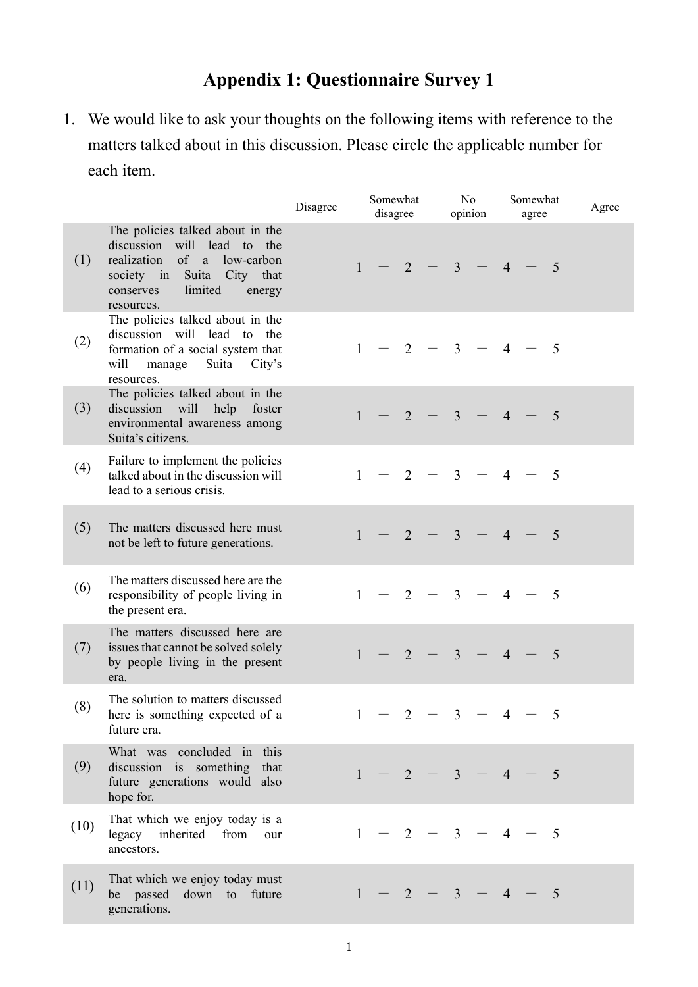## **Appendix 1: Questionnaire Survey 1**

1. We would like to ask your thoughts on the following items with reference to the matters talked about in this discussion. Please circle the applicable number for each item.

|      |                                                                                                                                                                              | Disagree |              | Somewhat<br>disagree |                | No<br>opinion |                | Somewhat<br>agree        |                |  | Agree          |  |
|------|------------------------------------------------------------------------------------------------------------------------------------------------------------------------------|----------|--------------|----------------------|----------------|---------------|----------------|--------------------------|----------------|--|----------------|--|
| (1)  | The policies talked about in the<br>discussion will lead to the<br>realization of a low-carbon<br>society in Suita City that<br>limited<br>conserves<br>energy<br>resources. |          | $\mathbf{1}$ |                      | $\overline{2}$ |               | $\overline{3}$ | $\overline{\phantom{m}}$ | $\overline{4}$ |  | 5              |  |
| (2)  | The policies talked about in the<br>discussion will lead to the<br>formation of a social system that<br>will<br>manage<br>Suita<br>City's<br>resources.                      |          | $\mathbf{1}$ |                      | 2              |               | $3 -$          |                          | $\overline{4}$ |  | $\overline{5}$ |  |
| (3)  | The policies talked about in the<br>discussion will help foster<br>environmental awareness among<br>Suita's citizens.                                                        |          | $\mathbf{1}$ |                      | 2              |               | 3 <sup>1</sup> |                          | $\overline{4}$ |  | $\overline{5}$ |  |
| (4)  | Failure to implement the policies<br>talked about in the discussion will<br>lead to a serious crisis.                                                                        |          | 1            |                      | 2              |               | $\mathbf{3}$   |                          | $\overline{4}$ |  | $\overline{5}$ |  |
| (5)  | The matters discussed here must<br>not be left to future generations.                                                                                                        |          | $\mathbf{1}$ |                      | 2              |               | 3 <sup>1</sup> | $\overline{\phantom{m}}$ | $\overline{4}$ |  | 5              |  |
| (6)  | The matters discussed here are the<br>responsibility of people living in<br>the present era.                                                                                 |          | $\mathbf{1}$ |                      | 2              |               | $\overline{3}$ |                          | $\overline{4}$ |  | $\overline{5}$ |  |
| (7)  | The matters discussed here are<br>issues that cannot be solved solely<br>by people living in the present<br>era.                                                             |          | $\mathbf{1}$ |                      | 2              |               | $\overline{3}$ |                          | $\overline{4}$ |  | $\overline{5}$ |  |
| (8)  | The solution to matters discussed<br>here is something expected of a<br>future era.                                                                                          |          |              | $1 - 2 - 3$          |                |               |                |                          | 4              |  | 5              |  |
| (9)  | What was concluded in this<br>discussion is something that<br>future generations would also<br>hope for.                                                                     |          |              | $1 - 2 - 3 - 4$      |                |               |                |                          |                |  | $\overline{5}$ |  |
| (10) | That which we enjoy today is a<br>legacy inherited<br>from<br>our<br>ancestors.                                                                                              |          | 1            |                      | 2              |               | $\overline{3}$ | $-4$                     |                |  | - 5            |  |
| (11) | That which we enjoy today must<br>be passed down to future<br>generations.                                                                                                   |          | 1            |                      | $-2$           |               | $\overline{3}$ |                          | $-4$           |  | 5              |  |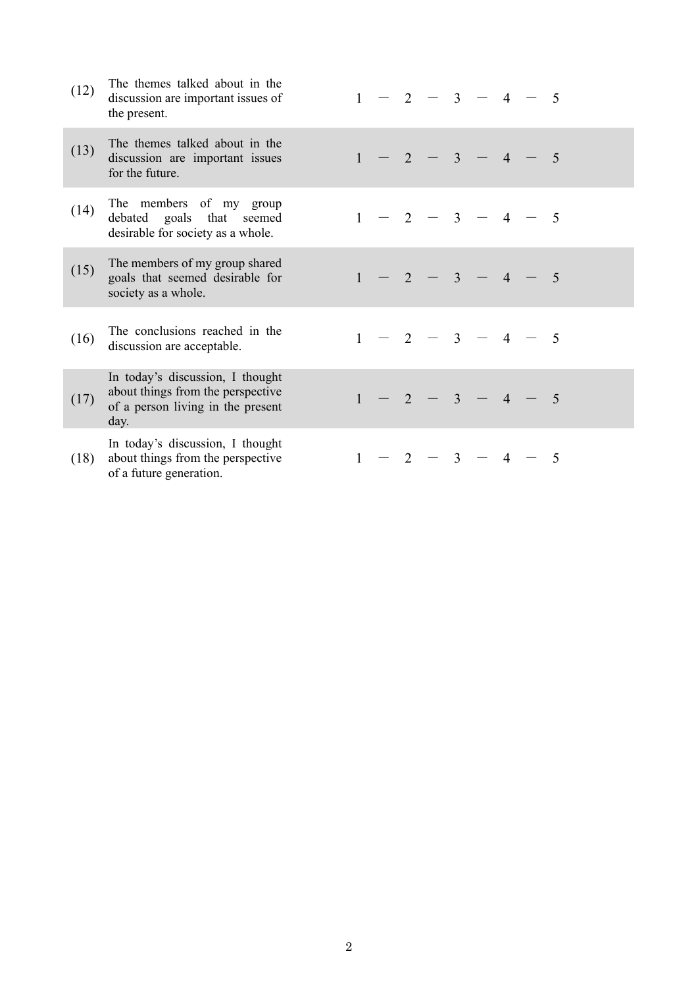| (12) | The themes talked about in the<br>discussion are important issues of<br>the present.                               |              |      | 2              | $\overline{3}$ | $\overline{4}$ | -5             |
|------|--------------------------------------------------------------------------------------------------------------------|--------------|------|----------------|----------------|----------------|----------------|
| (13) | The themes talked about in the<br>discussion are important issues<br>for the future.                               | $\mathbf{1}$ | $-2$ |                | $-3-$          | $\overline{4}$ | 5              |
| (14) | The members of my group<br>debated goals that seemed<br>desirable for society as a whole.                          | 1            |      | 2              | $\overline{3}$ | $\overline{4}$ | - 5            |
| (15) | The members of my group shared<br>goals that seemed desirable for<br>society as a whole.                           |              |      | $\overline{2}$ | $\overline{3}$ | $\overline{4}$ | 5              |
| (16) | The conclusions reached in the<br>discussion are acceptable.                                                       | $\mathbf{1}$ |      | $-2$           | $-3$           | $\overline{4}$ | - 5            |
| (17) | In today's discussion, I thought<br>about things from the perspective<br>of a person living in the present<br>day. |              |      | 2              | $\overline{3}$ | $\overline{4}$ | $\overline{5}$ |
| (18) | In today's discussion, I thought<br>about things from the perspective<br>of a future generation.                   |              |      | 2              | $\overline{3}$ |                | 5              |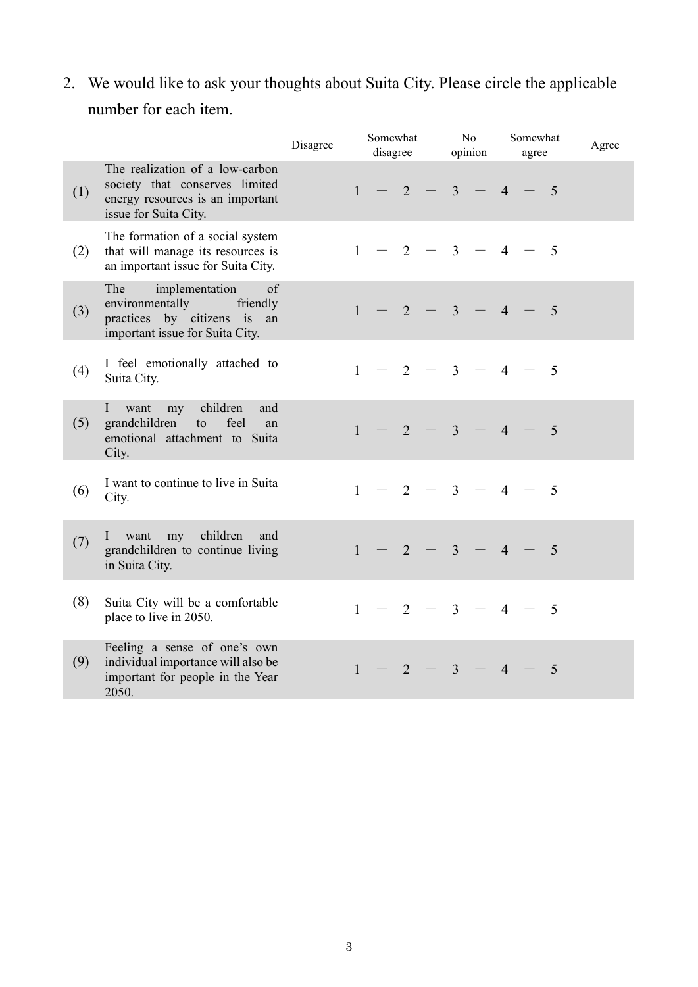2. We would like to ask your thoughts about Suita City. Please circle the applicable number for each item.

|     |                                                                                                                                 | Disagree | Somewhat<br>disagree |  |                | N <sub>o</sub><br>opinion |                | Somewhat<br>agree        |                          |  | Agree          |  |
|-----|---------------------------------------------------------------------------------------------------------------------------------|----------|----------------------|--|----------------|---------------------------|----------------|--------------------------|--------------------------|--|----------------|--|
| (1) | The realization of a low-carbon<br>society that conserves limited<br>energy resources is an important<br>issue for Suita City.  |          | $\mathbf{1}$         |  | $\overline{2}$ |                           | $\mathbf{3}$   |                          | $\overline{4}$           |  | $\overline{5}$ |  |
| (2) | The formation of a social system<br>that will manage its resources is<br>an important issue for Suita City.                     |          | $\mathbf{1}$         |  | 2              |                           | $\mathfrak{Z}$ |                          | $\overline{\mathcal{A}}$ |  | $\overline{5}$ |  |
| (3) | implementation<br>The<br>of<br>environmentally<br>friendly<br>practices by citizens is<br>an<br>important issue for Suita City. |          | $\mathbf{1}$         |  | 2              |                           | $\overline{3}$ |                          | $\overline{4}$           |  | $\overline{5}$ |  |
| (4) | I feel emotionally attached to<br>Suita City.                                                                                   |          | $\mathbf{1}$         |  | $\overline{2}$ |                           | $\mathbf{3}$   |                          | $\overline{4}$           |  | $\overline{5}$ |  |
| (5) | children<br>$\mathbf{I}$<br>want<br>my<br>and<br>grandchildren<br>feel<br>to<br>an<br>emotional attachment to Suita<br>City.    |          | $\mathbf{1}$         |  | $\overline{2}$ |                           | $\overline{3}$ | $\overline{\phantom{m}}$ | $\overline{4}$           |  | $\overline{5}$ |  |
| (6) | I want to continue to live in Suita<br>City.                                                                                    |          | $\mathbf{1}$         |  | 2              |                           | $\overline{3}$ |                          | $\overline{4}$           |  | $\overline{5}$ |  |
| (7) | I want my children<br>and<br>grandchildren to continue living<br>in Suita City.                                                 |          | $\mathbf{1}$         |  | 2              |                           | $\mathbf{3}$   |                          | $\overline{4}$           |  | $\overline{5}$ |  |
| (8) | Suita City will be a comfortable<br>place to live in 2050.                                                                      |          | $\mathbf{1}$         |  | 2              |                           | $\overline{3}$ |                          | $\overline{4}$           |  | 5              |  |
| (9) | Feeling a sense of one's own<br>individual importance will also be<br>important for people in the Year<br>2050.                 |          | $\mathbf{1}$         |  | $\overline{2}$ |                           | 3 <sup>1</sup> |                          | $\overline{4}$           |  | 5              |  |